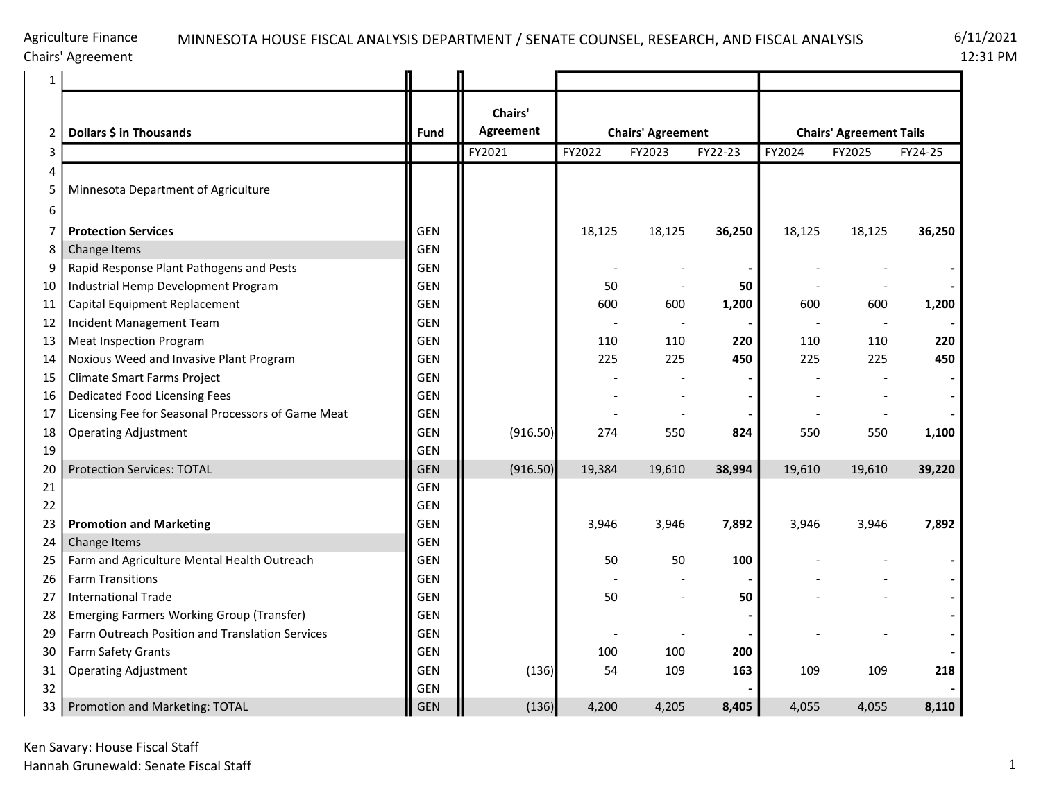# MINNESOTA HOUSE FISCAL ANALYSIS DEPARTMENT / SENATE COUNSEL, RESEARCH, AND FISCAL ANALYSIS 6/11/2021

12:31 PM

| 1  |                                                    |            |                      |                          |                          |         |                                |        |         |  |
|----|----------------------------------------------------|------------|----------------------|--------------------------|--------------------------|---------|--------------------------------|--------|---------|--|
| 2  | Dollars \$ in Thousands                            | Fund       | Chairs'<br>Agreement | <b>Chairs' Agreement</b> |                          |         | <b>Chairs' Agreement Tails</b> |        |         |  |
| 3  |                                                    |            | FY2021               | FY2022                   | FY2023                   | FY22-23 | FY2024                         | FY2025 | FY24-25 |  |
| 4  |                                                    |            |                      |                          |                          |         |                                |        |         |  |
| 5  | Minnesota Department of Agriculture                |            |                      |                          |                          |         |                                |        |         |  |
| 6  |                                                    |            |                      |                          |                          |         |                                |        |         |  |
| 7  | <b>Protection Services</b>                         | <b>GEN</b> |                      | 18,125                   | 18,125                   | 36,250  | 18,125                         | 18,125 | 36,250  |  |
| 8  | Change Items                                       | <b>GEN</b> |                      |                          |                          |         |                                |        |         |  |
| 9  | Rapid Response Plant Pathogens and Pests           | <b>GEN</b> |                      |                          |                          |         |                                |        |         |  |
| 10 | Industrial Hemp Development Program                | <b>GEN</b> |                      | 50                       | $\overline{\phantom{a}}$ | 50      |                                |        |         |  |
| 11 | Capital Equipment Replacement                      | <b>GEN</b> |                      | 600                      | 600                      | 1,200   | 600                            | 600    | 1,200   |  |
| 12 | Incident Management Team                           | <b>GEN</b> |                      |                          |                          |         |                                |        |         |  |
| 13 | <b>Meat Inspection Program</b>                     | <b>GEN</b> |                      | 110                      | 110                      | 220     | 110                            | 110    | 220     |  |
| 14 | Noxious Weed and Invasive Plant Program            | <b>GEN</b> |                      | 225                      | 225                      | 450     | 225                            | 225    | 450     |  |
| 15 | Climate Smart Farms Project                        | <b>GEN</b> |                      |                          |                          |         |                                |        |         |  |
| 16 | Dedicated Food Licensing Fees                      | <b>GEN</b> |                      |                          |                          |         |                                |        |         |  |
| 17 | Licensing Fee for Seasonal Processors of Game Meat | <b>GEN</b> |                      |                          |                          |         |                                |        |         |  |
| 18 | <b>Operating Adjustment</b>                        | <b>GEN</b> | (916.50)             | 274                      | 550                      | 824     | 550                            | 550    | 1,100   |  |
| 19 |                                                    | <b>GEN</b> |                      |                          |                          |         |                                |        |         |  |
| 20 | <b>Protection Services: TOTAL</b>                  | <b>GEN</b> | (916.50)             | 19,384                   | 19,610                   | 38,994  | 19,610                         | 19,610 | 39,220  |  |
| 21 |                                                    | <b>GEN</b> |                      |                          |                          |         |                                |        |         |  |
| 22 |                                                    | <b>GEN</b> |                      |                          |                          |         |                                |        |         |  |
| 23 | <b>Promotion and Marketing</b>                     | <b>GEN</b> |                      | 3,946                    | 3,946                    | 7,892   | 3,946                          | 3,946  | 7,892   |  |
| 24 | Change Items                                       | <b>GEN</b> |                      |                          |                          |         |                                |        |         |  |
| 25 | Farm and Agriculture Mental Health Outreach        | <b>GEN</b> |                      | 50                       | 50                       | 100     |                                |        |         |  |
| 26 | <b>Farm Transitions</b>                            | <b>GEN</b> |                      |                          |                          |         |                                |        |         |  |
| 27 | <b>International Trade</b>                         | <b>GEN</b> |                      | 50                       |                          | 50      |                                |        |         |  |
| 28 | <b>Emerging Farmers Working Group (Transfer)</b>   | <b>GEN</b> |                      |                          |                          |         |                                |        |         |  |
| 29 | Farm Outreach Position and Translation Services    | <b>GEN</b> |                      |                          |                          |         |                                |        |         |  |
| 30 | Farm Safety Grants                                 | <b>GEN</b> |                      | 100                      | 100                      | 200     |                                |        |         |  |
| 31 | <b>Operating Adjustment</b>                        | <b>GEN</b> | (136)                | 54                       | 109                      | 163     | 109                            | 109    | 218     |  |
| 32 |                                                    | <b>GEN</b> |                      |                          |                          |         |                                |        |         |  |
| 33 | Promotion and Marketing: TOTAL                     | <b>GEN</b> | (136)                | 4,200                    | 4,205                    | 8,405   | 4,055                          | 4,055  | 8,110   |  |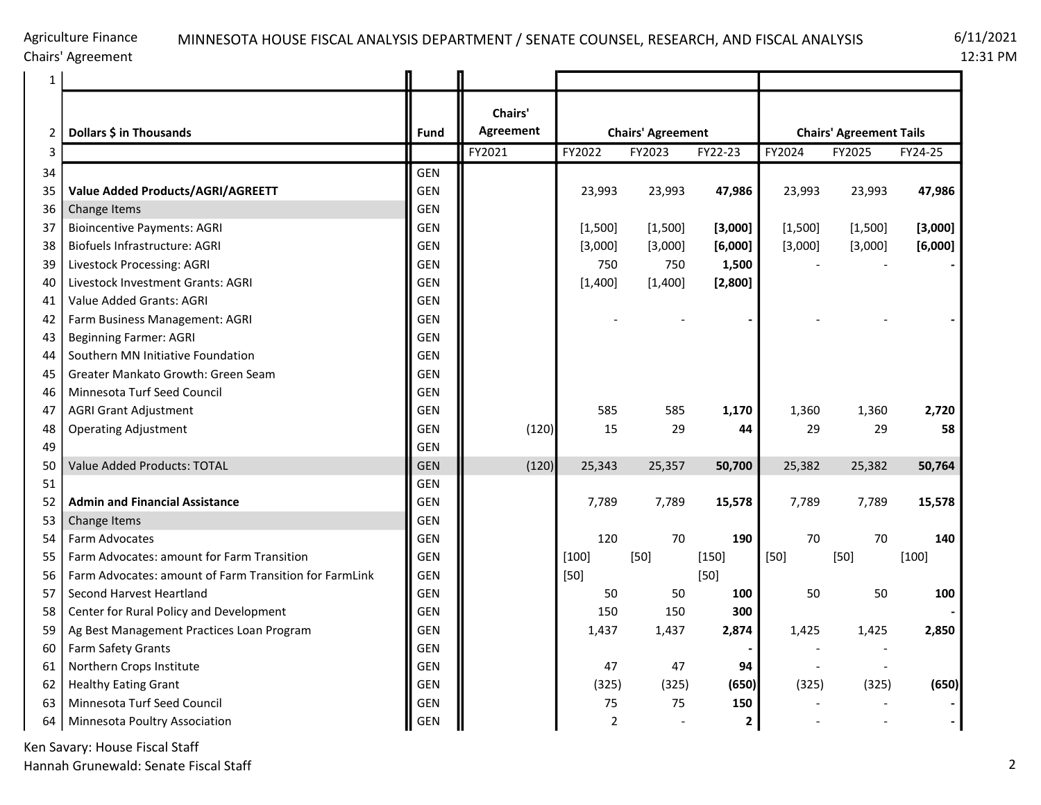### Agriculture Finance Chairs' Agreement

# MINNESOTA HOUSE FISCAL ANALYSIS DEPARTMENT / SENATE COUNSEL, RESEARCH, AND FISCAL ANALYSIS 6/11/2021

12:31 PM

| $\mathbf{1}$ |                                                        |             |                      |                          |         |              |                                |         |         |  |
|--------------|--------------------------------------------------------|-------------|----------------------|--------------------------|---------|--------------|--------------------------------|---------|---------|--|
| 2            | Dollars \$ in Thousands                                | <b>Fund</b> | Chairs'<br>Agreement | <b>Chairs' Agreement</b> |         |              | <b>Chairs' Agreement Tails</b> |         |         |  |
| 3            |                                                        |             | FY2021               | FY2022                   | FY2023  | FY22-23      | FY2024                         | FY2025  | FY24-25 |  |
| 34           |                                                        | <b>GEN</b>  |                      |                          |         |              |                                |         |         |  |
| 35           | Value Added Products/AGRI/AGREETT                      | <b>GEN</b>  |                      | 23,993                   | 23,993  | 47,986       | 23,993                         | 23,993  | 47,986  |  |
| 36           | Change Items                                           | <b>GEN</b>  |                      |                          |         |              |                                |         |         |  |
| 37           | <b>Bioincentive Payments: AGRI</b>                     | <b>GEN</b>  |                      | [1,500]                  | [1,500] | [3,000]      | [1,500]                        | [1,500] | [3,000] |  |
| 38           | Biofuels Infrastructure: AGRI                          | <b>GEN</b>  |                      | [3,000]                  | [3,000] | [6,000]      | [3,000]                        | [3,000] | [6,000] |  |
| 39           | Livestock Processing: AGRI                             | <b>GEN</b>  |                      | 750                      | 750     | 1,500        |                                |         |         |  |
| 40           | Livestock Investment Grants: AGRI                      | <b>GEN</b>  |                      | [1,400]                  | [1,400] | [2,800]      |                                |         |         |  |
| 41           | Value Added Grants: AGRI                               | <b>GEN</b>  |                      |                          |         |              |                                |         |         |  |
| 42           | Farm Business Management: AGRI                         | <b>GEN</b>  |                      |                          |         |              |                                |         |         |  |
| 43           | <b>Beginning Farmer: AGRI</b>                          | <b>GEN</b>  |                      |                          |         |              |                                |         |         |  |
| 44           | Southern MN Initiative Foundation                      | <b>GEN</b>  |                      |                          |         |              |                                |         |         |  |
| 45           | Greater Mankato Growth: Green Seam                     | <b>GEN</b>  |                      |                          |         |              |                                |         |         |  |
| 46           | Minnesota Turf Seed Council                            | <b>GEN</b>  |                      |                          |         |              |                                |         |         |  |
| 47           | <b>AGRI Grant Adjustment</b>                           | <b>GEN</b>  |                      | 585                      | 585     | 1,170        | 1,360                          | 1,360   | 2,720   |  |
| 48           | <b>Operating Adjustment</b>                            | <b>GEN</b>  | (120)                | 15                       | 29      | 44           | 29                             | 29      | 58      |  |
| 49           |                                                        | <b>GEN</b>  |                      |                          |         |              |                                |         |         |  |
| 50           | <b>Value Added Products: TOTAL</b>                     | <b>GEN</b>  | (120)                | 25,343                   | 25,357  | 50,700       | 25,382                         | 25,382  | 50,764  |  |
| 51           |                                                        | <b>GEN</b>  |                      |                          |         |              |                                |         |         |  |
| 52           | <b>Admin and Financial Assistance</b>                  | <b>GEN</b>  |                      | 7,789                    | 7,789   | 15,578       | 7,789                          | 7,789   | 15,578  |  |
| 53           | Change Items                                           | <b>GEN</b>  |                      |                          |         |              |                                |         |         |  |
| 54           | Farm Advocates                                         | GEN         |                      | 120                      | 70      | 190          | 70                             | 70      | 140     |  |
| 55           | Farm Advocates: amount for Farm Transition             | <b>GEN</b>  |                      | $[100]$                  | $[50]$  | $[150]$      | $[50]$                         | $[50]$  | $[100]$ |  |
| 56           | Farm Advocates: amount of Farm Transition for FarmLink | <b>GEN</b>  |                      | $[50]$                   |         | $[50]$       |                                |         |         |  |
| 57           | Second Harvest Heartland                               | <b>GEN</b>  |                      | 50                       | 50      | 100          | 50                             | 50      | 100     |  |
| 58           | Center for Rural Policy and Development                | <b>GEN</b>  |                      | 150                      | 150     | 300          |                                |         |         |  |
| 59           | Ag Best Management Practices Loan Program              | <b>GEN</b>  |                      | 1,437                    | 1,437   | 2,874        | 1,425                          | 1,425   | 2,850   |  |
| 60           | Farm Safety Grants                                     | <b>GEN</b>  |                      |                          |         |              |                                |         |         |  |
| 61           | Northern Crops Institute                               | GEN         |                      | 47                       | 47      | 94           |                                |         |         |  |
| 62           | <b>Healthy Eating Grant</b>                            | <b>GEN</b>  |                      | (325)                    | (325)   | (650)        | (325)                          | (325)   | (650)   |  |
| 63           | Minnesota Turf Seed Council                            | <b>GEN</b>  |                      | 75                       | 75      | 150          |                                |         |         |  |
| 64           | Minnesota Poultry Association                          | <b>GEN</b>  |                      | $\overline{2}$           |         | $\mathbf{2}$ |                                |         |         |  |

Ken Savary: House Fiscal Staff

Hannah Grunewald: Senate Fiscal Staff 2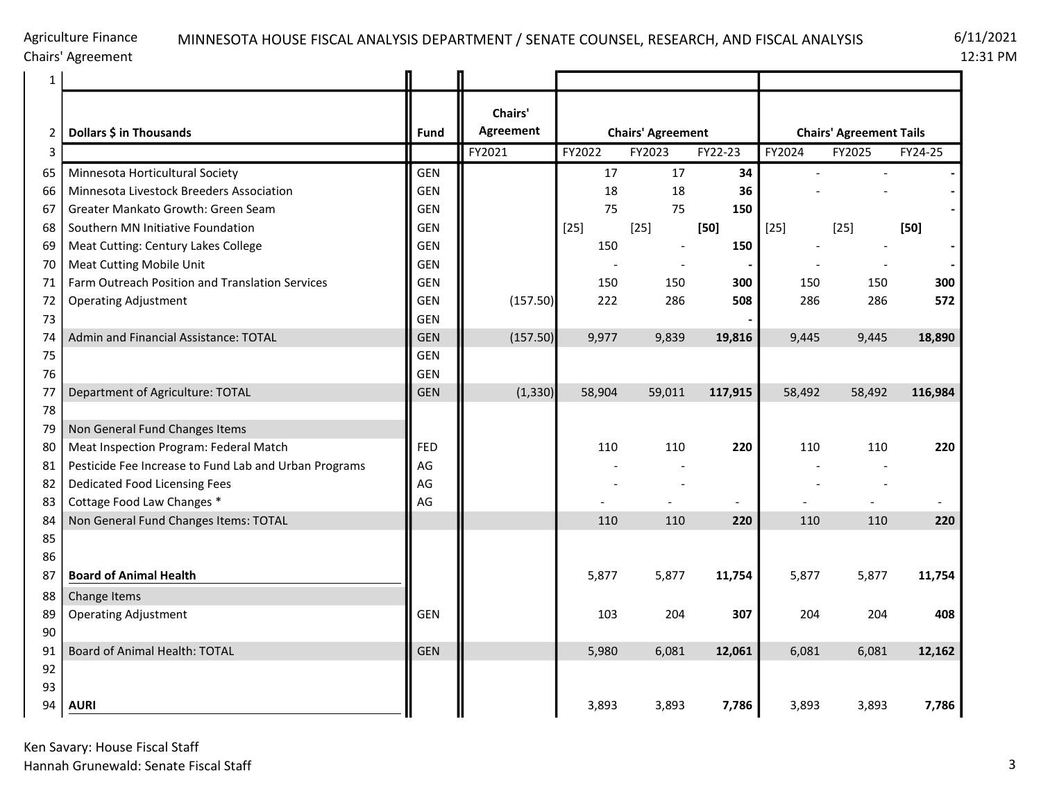Chairs' Agreement

| 1  |                                                       |            |                      |        |                          |                          |                                |                |                       |  |  |
|----|-------------------------------------------------------|------------|----------------------|--------|--------------------------|--------------------------|--------------------------------|----------------|-----------------------|--|--|
| 2  | Dollars \$ in Thousands                               | Fund       | Chairs'<br>Agreement |        | <b>Chairs' Agreement</b> |                          | <b>Chairs' Agreement Tails</b> |                |                       |  |  |
| 3  |                                                       |            | FY2021               | FY2022 | FY2023                   | FY22-23                  | FY2024                         | FY2025         | FY24-25               |  |  |
| 65 | Minnesota Horticultural Society                       | <b>GEN</b> |                      | 17     | 17                       | 34                       |                                |                |                       |  |  |
| 66 | Minnesota Livestock Breeders Association              | <b>GEN</b> |                      | 18     | 18                       | 36                       |                                |                |                       |  |  |
| 67 | Greater Mankato Growth: Green Seam                    | GEN        |                      | 75     | 75                       | 150                      |                                |                |                       |  |  |
| 68 | Southern MN Initiative Foundation                     | <b>GEN</b> |                      | $[25]$ | $[25]$                   | $[50]$                   | $[25]$                         | $[25]$         | $[50]$                |  |  |
| 69 | Meat Cutting: Century Lakes College                   | <b>GEN</b> |                      | 150    |                          | 150                      |                                |                |                       |  |  |
| 70 | <b>Meat Cutting Mobile Unit</b>                       | <b>GEN</b> |                      |        |                          |                          |                                |                |                       |  |  |
| 71 | Farm Outreach Position and Translation Services       | GEN        |                      | 150    | 150                      | 300                      | 150                            | 150            | 300                   |  |  |
| 72 | <b>Operating Adjustment</b>                           | <b>GEN</b> | (157.50)             | 222    | 286                      | 508                      | 286                            | 286            | 572                   |  |  |
| 73 |                                                       | <b>GEN</b> |                      |        |                          |                          |                                |                |                       |  |  |
| 74 | Admin and Financial Assistance: TOTAL                 | <b>GEN</b> | (157.50)             | 9,977  | 9,839                    | 19,816                   | 9,445                          | 9,445          | 18,890                |  |  |
| 75 |                                                       | <b>GEN</b> |                      |        |                          |                          |                                |                |                       |  |  |
| 76 |                                                       | <b>GEN</b> |                      |        |                          |                          |                                |                |                       |  |  |
| 77 | Department of Agriculture: TOTAL                      | <b>GEN</b> | (1, 330)             | 58,904 | 59,011                   | 117,915                  | 58,492                         | 58,492         | 116,984               |  |  |
| 78 |                                                       |            |                      |        |                          |                          |                                |                |                       |  |  |
| 79 | Non General Fund Changes Items                        |            |                      |        |                          |                          |                                |                |                       |  |  |
| 80 | Meat Inspection Program: Federal Match                | <b>FED</b> |                      | 110    | 110                      | 220                      | 110                            | 110            | 220                   |  |  |
| 81 | Pesticide Fee Increase to Fund Lab and Urban Programs | AG         |                      |        |                          |                          |                                |                |                       |  |  |
| 82 | Dedicated Food Licensing Fees                         | AG         |                      |        |                          |                          |                                |                |                       |  |  |
| 83 | Cottage Food Law Changes *                            | AG         |                      |        | $\overline{a}$           | $\overline{\phantom{a}}$ |                                | $\overline{a}$ | $\tilde{\phantom{a}}$ |  |  |
| 84 | Non General Fund Changes Items: TOTAL                 |            |                      | 110    | 110                      | 220                      | 110                            | 110            | 220                   |  |  |
| 85 |                                                       |            |                      |        |                          |                          |                                |                |                       |  |  |
| 86 |                                                       |            |                      |        |                          |                          |                                |                |                       |  |  |
| 87 | <b>Board of Animal Health</b>                         |            |                      | 5,877  | 5,877                    | 11,754                   | 5,877                          | 5,877          | 11,754                |  |  |
| 88 | Change Items                                          |            |                      |        |                          |                          |                                |                |                       |  |  |
| 89 | <b>Operating Adjustment</b>                           | <b>GEN</b> |                      | 103    | 204                      | 307                      | 204                            | 204            | 408                   |  |  |
| 90 |                                                       |            |                      |        |                          |                          |                                |                |                       |  |  |
| 91 | Board of Animal Health: TOTAL                         | <b>GEN</b> |                      | 5,980  | 6,081                    | 12,061                   | 6,081                          | 6,081          | 12,162                |  |  |
| 92 |                                                       |            |                      |        |                          |                          |                                |                |                       |  |  |
| 93 |                                                       |            |                      |        |                          |                          |                                |                |                       |  |  |
| 94 | <b>AURI</b>                                           |            |                      | 3,893  | 3,893                    | 7,786                    | 3,893                          | 3,893          | 7,786                 |  |  |

Ken Savary: House Fiscal Staff Hannah Grunewald: Senate Fiscal Staff 3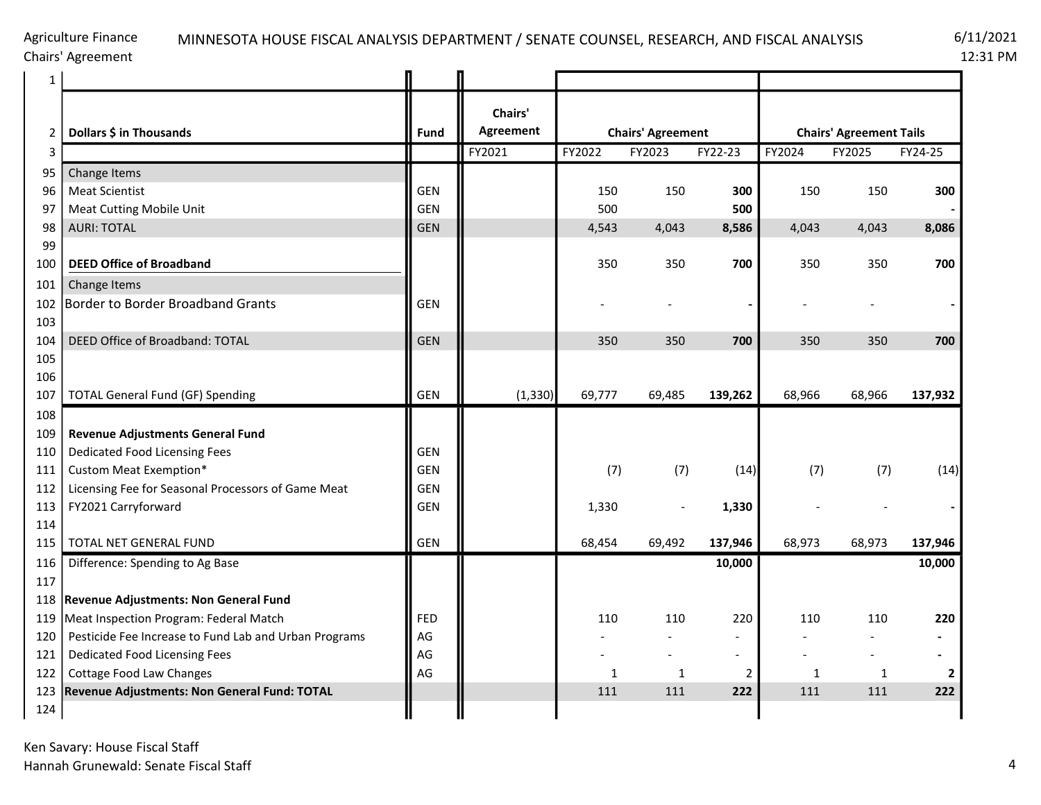## MINNESOTA HOUSE FISCAL ANALYSIS DEPARTMENT / SENATE COUNSEL, RESEARCH, AND FISCAL ANALYSIS 6/11/2021

12:31 PM

| $\mathbf{1}$   |                                                       |             |                      |                             |                          |                |                                |        |                |  |  |
|----------------|-------------------------------------------------------|-------------|----------------------|-----------------------------|--------------------------|----------------|--------------------------------|--------|----------------|--|--|
| $\overline{2}$ | Dollars \$ in Thousands                               | <b>Fund</b> | Chairs'<br>Agreement |                             | <b>Chairs' Agreement</b> |                | <b>Chairs' Agreement Tails</b> |        |                |  |  |
| 3              |                                                       |             | FY2021               | FY2022<br>FY22-23<br>FY2023 |                          |                | FY2024                         | FY2025 | FY24-25        |  |  |
| 95             | Change Items                                          |             |                      |                             |                          |                |                                |        |                |  |  |
| 96             | <b>Meat Scientist</b>                                 | <b>GEN</b>  |                      | 150                         | 150                      | 300            | 150                            | 150    | 300            |  |  |
| 97             | Meat Cutting Mobile Unit                              | <b>GEN</b>  |                      | 500                         |                          | 500            |                                |        |                |  |  |
| 98             | <b>AURI: TOTAL</b>                                    | <b>GEN</b>  |                      | 4,543                       | 4,043                    |                | 4,043<br>4,043                 |        | 8,086          |  |  |
| 99             |                                                       |             |                      |                             |                          |                |                                |        |                |  |  |
| 100            | <b>DEED Office of Broadband</b>                       |             |                      | 350                         | 350                      | 700            | 350                            | 350    | 700            |  |  |
| 101            | Change Items                                          |             |                      |                             |                          |                |                                |        |                |  |  |
| 102            | <b>Border to Border Broadband Grants</b>              | <b>GEN</b>  |                      |                             |                          |                |                                |        |                |  |  |
| 103            |                                                       |             |                      |                             |                          |                |                                |        |                |  |  |
| 104            | DEED Office of Broadband: TOTAL                       | <b>GEN</b>  |                      | 350<br>350                  |                          | 700            | 350                            | 350    | 700            |  |  |
| 105            |                                                       |             |                      |                             |                          |                |                                |        |                |  |  |
| 106<br>107     | <b>TOTAL General Fund (GF) Spending</b>               | <b>GEN</b>  | (1, 330)             | 69,777                      | 69,485                   | 139,262        | 68,966                         | 68,966 | 137,932        |  |  |
| 108            |                                                       |             |                      |                             |                          |                |                                |        |                |  |  |
| 109            | <b>Revenue Adjustments General Fund</b>               |             |                      |                             |                          |                |                                |        |                |  |  |
| 110            | Dedicated Food Licensing Fees                         | <b>GEN</b>  |                      |                             |                          |                |                                |        |                |  |  |
| 111            | Custom Meat Exemption*                                | GEN         |                      | (7)                         | (7)                      | (14)           | (7)                            | (7)    | (14)           |  |  |
| 112            | Licensing Fee for Seasonal Processors of Game Meat    | <b>GEN</b>  |                      |                             |                          |                |                                |        |                |  |  |
| 113            | FY2021 Carryforward                                   | <b>GEN</b>  |                      | 1,330                       |                          | 1,330          |                                |        |                |  |  |
| 114            |                                                       |             |                      |                             |                          |                |                                |        |                |  |  |
| 115            | <b>TOTAL NET GENERAL FUND</b>                         | <b>GEN</b>  |                      | 68,454                      | 69,492                   | 137,946        | 68,973                         | 68,973 | 137,946        |  |  |
| 116            | Difference: Spending to Ag Base                       |             |                      |                             |                          | 10,000         |                                |        | 10,000         |  |  |
| 117            |                                                       |             |                      |                             |                          |                |                                |        |                |  |  |
| 118            | <b>Revenue Adjustments: Non General Fund</b>          |             |                      |                             |                          |                |                                |        |                |  |  |
| 119            | Meat Inspection Program: Federal Match                | <b>FED</b>  |                      | 110                         | 110                      | 220            | 110                            | 110    | 220            |  |  |
| 120            | Pesticide Fee Increase to Fund Lab and Urban Programs | AG          |                      |                             |                          |                |                                |        |                |  |  |
| 121            | Dedicated Food Licensing Fees                         | AG          |                      |                             |                          | $\blacksquare$ |                                |        | $\blacksquare$ |  |  |
| 122            | Cottage Food Law Changes                              | AG          |                      | 1                           | 1                        | $\overline{2}$ | 1                              | 1      | 2              |  |  |
| 123            | Revenue Adjustments: Non General Fund: TOTAL          |             |                      | 111                         | 111                      | 222            | 111                            | 111    | 222            |  |  |
| 124            |                                                       |             |                      |                             |                          |                |                                |        |                |  |  |

Ken Savary: House Fiscal Staff Hannah Grunewald: Senate Fiscal Staff 4